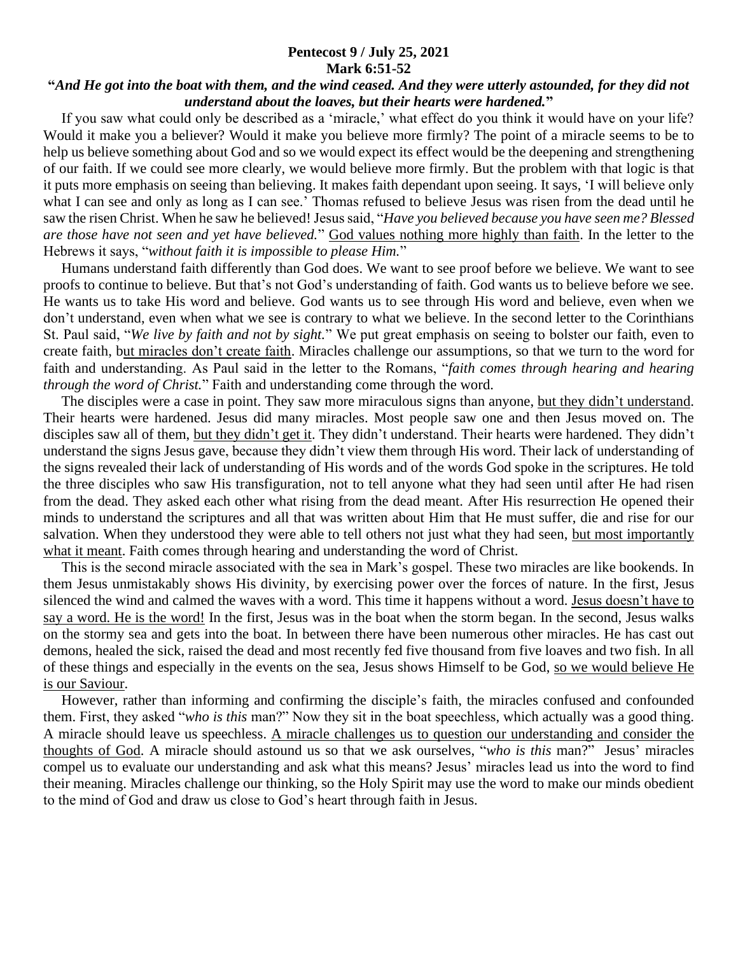## **Pentecost 9 / July 25, 2021 Mark 6:51-52**

## **"***And He got into the boat with them, and the wind ceased. And they were utterly astounded, for they did not understand about the loaves, but their hearts were hardened.***"**

 If you saw what could only be described as a 'miracle,' what effect do you think it would have on your life? Would it make you a believer? Would it make you believe more firmly? The point of a miracle seems to be to help us believe something about God and so we would expect its effect would be the deepening and strengthening of our faith. If we could see more clearly, we would believe more firmly. But the problem with that logic is that it puts more emphasis on seeing than believing. It makes faith dependant upon seeing. It says, 'I will believe only what I can see and only as long as I can see.' Thomas refused to believe Jesus was risen from the dead until he saw the risen Christ. When he saw he believed! Jesus said, "*Have you believed because you have seen me? Blessed are those have not seen and yet have believed.*" God values nothing more highly than faith. In the letter to the Hebrews it says, "*without faith it is impossible to please Him.*"

 Humans understand faith differently than God does. We want to see proof before we believe. We want to see proofs to continue to believe. But that's not God's understanding of faith. God wants us to believe before we see. He wants us to take His word and believe. God wants us to see through His word and believe, even when we don't understand, even when what we see is contrary to what we believe. In the second letter to the Corinthians St. Paul said, "*We live by faith and not by sight.*" We put great emphasis on seeing to bolster our faith, even to create faith, but miracles don't create faith. Miracles challenge our assumptions, so that we turn to the word for faith and understanding. As Paul said in the letter to the Romans, "*faith comes through hearing and hearing through the word of Christ.*" Faith and understanding come through the word.

 The disciples were a case in point. They saw more miraculous signs than anyone, but they didn't understand. Their hearts were hardened. Jesus did many miracles. Most people saw one and then Jesus moved on. The disciples saw all of them, but they didn't get it. They didn't understand. Their hearts were hardened. They didn't understand the signs Jesus gave, because they didn't view them through His word. Their lack of understanding of the signs revealed their lack of understanding of His words and of the words God spoke in the scriptures. He told the three disciples who saw His transfiguration, not to tell anyone what they had seen until after He had risen from the dead. They asked each other what rising from the dead meant. After His resurrection He opened their minds to understand the scriptures and all that was written about Him that He must suffer, die and rise for our salvation. When they understood they were able to tell others not just what they had seen, but most importantly what it meant. Faith comes through hearing and understanding the word of Christ.

 This is the second miracle associated with the sea in Mark's gospel. These two miracles are like bookends. In them Jesus unmistakably shows His divinity, by exercising power over the forces of nature. In the first, Jesus silenced the wind and calmed the waves with a word. This time it happens without a word. Jesus doesn't have to say a word. He is the word! In the first, Jesus was in the boat when the storm began. In the second, Jesus walks on the stormy sea and gets into the boat. In between there have been numerous other miracles. He has cast out demons, healed the sick, raised the dead and most recently fed five thousand from five loaves and two fish. In all of these things and especially in the events on the sea, Jesus shows Himself to be God, so we would believe He is our Saviour.

 However, rather than informing and confirming the disciple's faith, the miracles confused and confounded them. First, they asked "*who is this* man?" Now they sit in the boat speechless, which actually was a good thing. A miracle should leave us speechless. A miracle challenges us to question our understanding and consider the thoughts of God. A miracle should astound us so that we ask ourselves, "*who is this* man?" Jesus' miracles compel us to evaluate our understanding and ask what this means? Jesus' miracles lead us into the word to find their meaning. Miracles challenge our thinking, so the Holy Spirit may use the word to make our minds obedient to the mind of God and draw us close to God's heart through faith in Jesus.